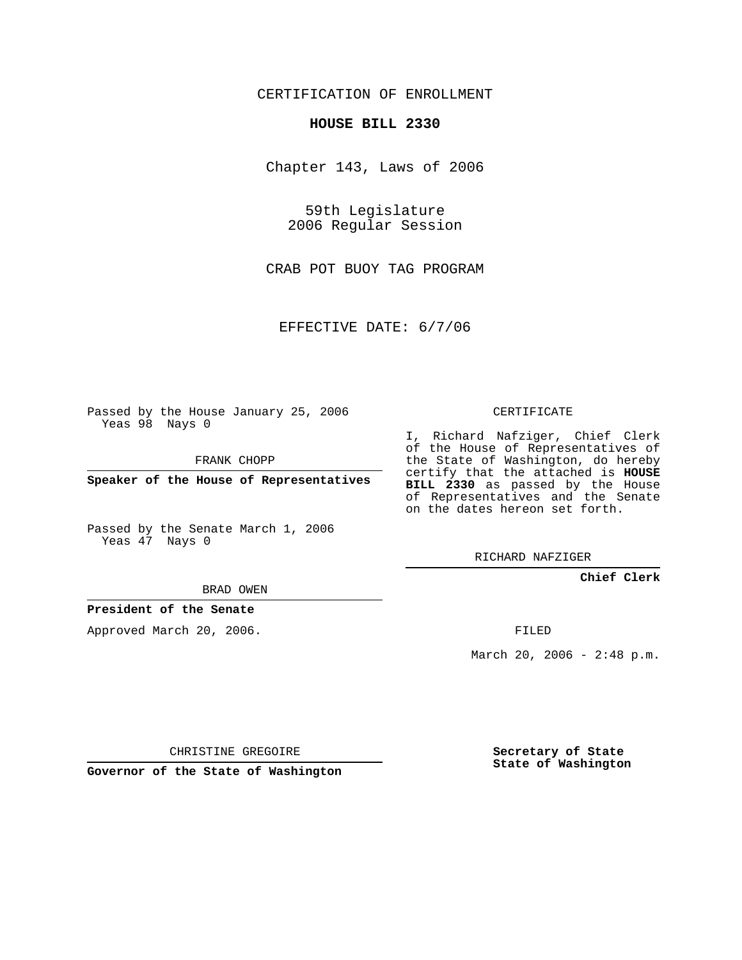CERTIFICATION OF ENROLLMENT

## **HOUSE BILL 2330**

Chapter 143, Laws of 2006

59th Legislature 2006 Regular Session

CRAB POT BUOY TAG PROGRAM

EFFECTIVE DATE: 6/7/06

Passed by the House January 25, 2006 Yeas 98 Nays 0

FRANK CHOPP

**Speaker of the House of Representatives**

Passed by the Senate March 1, 2006 Yeas 47 Nays 0

CERTIFICATE

I, Richard Nafziger, Chief Clerk of the House of Representatives of the State of Washington, do hereby certify that the attached is **HOUSE BILL 2330** as passed by the House of Representatives and the Senate on the dates hereon set forth.

RICHARD NAFZIGER

**Chief Clerk**

BRAD OWEN

**President of the Senate**

Approved March 20, 2006.

FILED

March 20, 2006 -  $2:48$  p.m.

CHRISTINE GREGOIRE

**Governor of the State of Washington**

**Secretary of State State of Washington**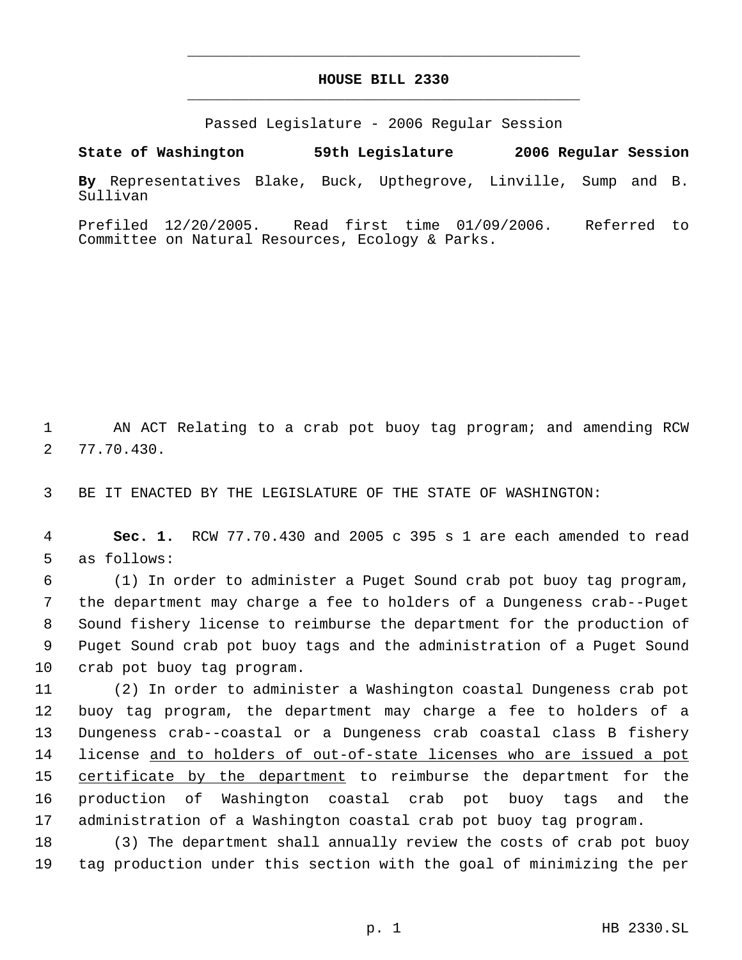## **HOUSE BILL 2330** \_\_\_\_\_\_\_\_\_\_\_\_\_\_\_\_\_\_\_\_\_\_\_\_\_\_\_\_\_\_\_\_\_\_\_\_\_\_\_\_\_\_\_\_\_

\_\_\_\_\_\_\_\_\_\_\_\_\_\_\_\_\_\_\_\_\_\_\_\_\_\_\_\_\_\_\_\_\_\_\_\_\_\_\_\_\_\_\_\_\_

Passed Legislature - 2006 Regular Session

**State of Washington 59th Legislature 2006 Regular Session**

**By** Representatives Blake, Buck, Upthegrove, Linville, Sump and B. Sullivan

Prefiled 12/20/2005. Read first time 01/09/2006. Referred to Committee on Natural Resources, Ecology & Parks.

 AN ACT Relating to a crab pot buoy tag program; and amending RCW 77.70.430.

BE IT ENACTED BY THE LEGISLATURE OF THE STATE OF WASHINGTON:

 **Sec. 1.** RCW 77.70.430 and 2005 c 395 s 1 are each amended to read as follows:

 (1) In order to administer a Puget Sound crab pot buoy tag program, the department may charge a fee to holders of a Dungeness crab--Puget Sound fishery license to reimburse the department for the production of Puget Sound crab pot buoy tags and the administration of a Puget Sound crab pot buoy tag program.

 (2) In order to administer a Washington coastal Dungeness crab pot buoy tag program, the department may charge a fee to holders of a Dungeness crab--coastal or a Dungeness crab coastal class B fishery license and to holders of out-of-state licenses who are issued a pot 15 certificate by the department to reimburse the department for the production of Washington coastal crab pot buoy tags and the administration of a Washington coastal crab pot buoy tag program.

 (3) The department shall annually review the costs of crab pot buoy tag production under this section with the goal of minimizing the per